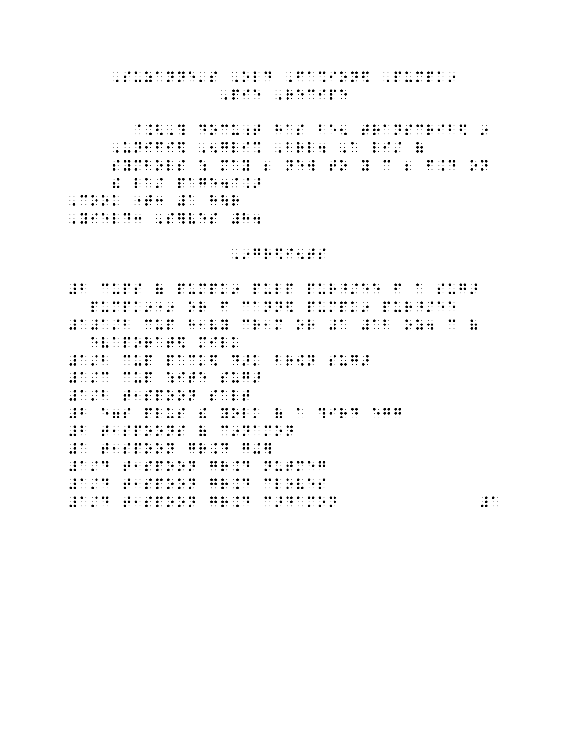## , SUZANNE'S , DE REGION (SUZAN), SUZANNE'S , SUZANNE'S , SUZANNE'S , SUZANNE'S , SUZANNE'S , SUZANNE'S , SUZAN<br>De SUZANNE'S , SUZANNE'S , SUZANNE'S , SUZANNE'S , SUZANNE'S , SUZANNE'S , SUZANNE'S , SUZANNE'S , SUZANNE'S , , and a set of the set of the set of the set of the set of the set of the set of the set of the set of the set<br> $\mathbf{R} = \mathbf{R} \cdot \mathbf{R} \cdot \mathbf{R} \cdot \mathbf{R} \cdot \mathbf{R} \cdot \mathbf{R} \cdot \mathbf{R} \cdot \mathbf{R} \cdot \mathbf{R} \cdot \mathbf{R} \cdot \mathbf{R} \cdot \mathbf{R} \cdot \mathbf{R}$

 $\begin{bmatrix} 0 & 0 & 0 & 0 & 0 \\ 0 & 0 & 0 & 0 & 0 \\ 0 & 0 & 0 & 0 & 0 \\ 0 & 0 & 0 & 0 & 0 \\ 0 & 0 & 0 & 0 & 0 \\ 0 & 0 & 0 & 0 & 0 \\ 0 & 0 & 0 & 0 & 0 \\ 0 & 0 & 0 & 0 & 0 \\ 0 & 0 & 0 & 0 & 0 \\ 0 & 0 & 0 & 0 & 0 \\ 0 & 0 & 0 & 0 & 0 \\ 0 & 0 & 0 & 0 & 0 \\ 0 & 0 & 0 & 0 & 0 \\ 0 & 0 & 0 & 0 & 0 \\ 0 &$ ,  $U$  ,  $U$  ,  $U$  ,  $U$  ,  $U$  ,  $U$  ,  $U$  ,  $U$  ,  $U$  ,  $U$  ,  $U$  ,  $U$  ,  $U$  ,  $U$  ,  $U$  ,  $U$  ,  $U$  ,  $U$  ,  $U$  ,  $U$  ,  $U$  ,  $U$  ,  $U$  ,  $U$  ,  $U$  ,  $U$  ,  $U$  ,  $U$  ,  $U$  ,  $U$  ,  $U$  ,  $U$  ,  $U$  ,  $U$  ,  $U$  ,  $U$  ,  $U$ SYMBOLS : MAY 2 NEW YORK : MAY 2 NEW YORK : MAY 2 NEW YORK : MAY 2 NEW YORK : MAY 2 NEW YORK : MAY 2 NEW YORK<br>An extendion of the symbols : May 2 New York : May 2 New York : May 2 New York : May 2 New York : May 2 New Yo !<br>2010 | Discours | Discours | Discours | Discours | Discours | Discours | Discours | Discours | Discours | Dis<br>2010 | Discours | Discours | Discours | Discours | Discours | Discours | Discours | Discours | Discours | Dis , and the top and the second second second second second second second second second second second second seco<br>, and the target second second second second second second second second second second second second second se ,  $\frac{1}{2}$  ,  $\frac{1}{2}$  ,  $\frac{1}{2}$  ,  $\frac{1}{2}$  ,  $\frac{1}{2}$  ,  $\frac{1}{2}$  ,  $\frac{1}{2}$  ,  $\frac{1}{2}$  ,  $\frac{1}{2}$  ,  $\frac{1}{2}$  ,  $\frac{1}{2}$  ,  $\frac{1}{2}$  ,  $\frac{1}{2}$  ,  $\frac{1}{2}$  ,  $\frac{1}{2}$  ,  $\frac{1}{2}$  ,  $\frac{1}{2}$  ,  $\frac{1}{2}$  ,  $\frac$ 

## ,  $95.15.15.15.15.15.1$

#B CUPS ( PUMPK9 PULP PUR^/EE F A SUG> PUMPK9"9 OR F CANN\$ PUMPK9 PUR^/EE .<br>A B CUP HO DE LA CARA DE LA CARA DE LA CARA DE LA CARA DE LA CARA DE LA CARA DE LA CARA DE LA CARA DE LA CARA<br>A B CUP HO DE LA CARA DE LA CARA DE LA CARA DE LA CARA DE LA CARA DE LA CARA DE LA CARA DE LA CARA DE LA CARA EVAPORAT\$ MILK #A/B CUP PACK\$ D>K BR[N SUG> #A/C CUP :ITE SUG> #A/B T1SPOON SALT #B E7S PLUS ! YOLK ( A ?IRD EGG #B T1SPOONS ( C9NAMON #A T1SPOON GR.D G+] #A/D T1SPOON GR.D NUTMEG #A/D T1SPOON GR.D CLOVES  $\frac{1}{2}$  and  $\frac{1}{2}$  and  $\frac{1}{2}$  and  $\frac{1}{2}$  and  $\frac{1}{2}$  and  $\frac{1}{2}$  and  $\frac{1}{2}$  and  $\frac{1}{2}$  and  $\frac{1}{2}$  and  $\frac{1}{2}$  and  $\frac{1}{2}$  and  $\frac{1}{2}$  and  $\frac{1}{2}$  and  $\frac{1}{2}$  and  $\frac{1}{2}$  and  $\frac{1}{2}$  an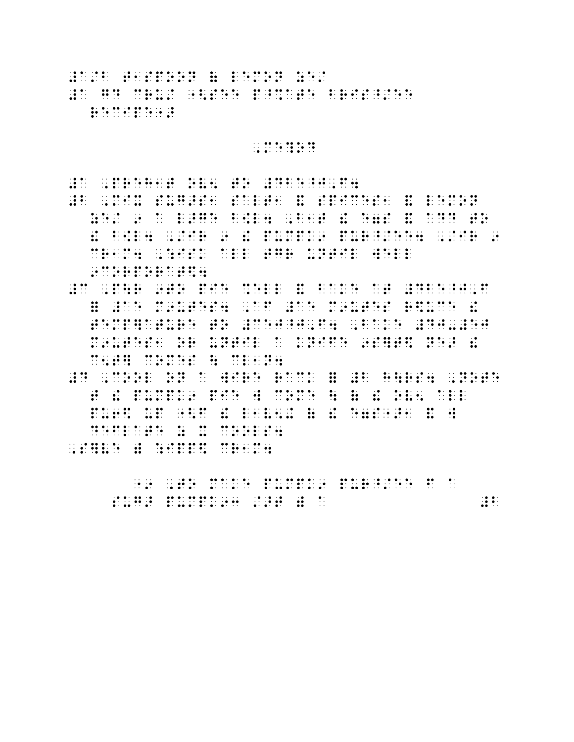#A/B T1SPOON ( LEMON ZE/ # A GD CRU/ "CAR GROUP" (A GROUP" (A GROUP" (A GROUP" (A GROUP" (A GROUP" (A GROUP" (A GROUP" (A GROUP" (A GRO<br>A GROUP" (A GROUP" (A GROUP" (A GROUP" (A GROUP" (A GROUP" (A GROUP" (A GROUP" (A GROUP" (A GROUP") (A GROUP"<br>A RECIPE TO THE TANK OF

## ,ME?OD

#A ,PREH1T OV5 TO #DBE^J,F4 # 2010 | # 2010 | \$ 2010 | \$ 2010 | \$ 2010 | \$ 2010 | \$ 2010 | \$ 2010 | \$ 2010 | \$ 2010 | \$ 2010 | \$ 2010 | \$ <br>\$ 2011 | \$ 2010 | \$ 2010 | \$ 2010 | \$ 2010 | \$ 2010 | \$ 2010 | \$ 2010 | \$ 2010 | \$ 2010 | \$ 2010 | \$ 2010 |<br>\$ 2 ZE/ 9 A LOND COMPANY AND REPORT OF THE RESIDENCE OF THE RESIDENCE OF THE RESIDENCE OF THE RESIDENCE OF THE RES<br>Company of the residence of the residence of the residence of the residence of the residence of the residence<br>C ! Because the control of the series of the control of the series of the series of the series of the series of <br>All 9 : IR 9 : IR 9 : IR 9 : IR 9 : IR 9 : IR 9 : IR 9 : IR 9 : IR 9 : IR 9 : IR 9 : IR 9 : IR 9 : IR 9 : IR 9 CRIME ,:ISK ALL TGR UNTIL WELL TAKEN , 9CORPORAT\$4 #C ,P\R 9TO PIE %ELL & BAKE AT #DBE^J,F = #AE MORE #AE MORE #AE MORE #AE MORE #AE MORE #AE MORE #AE MORE #AE MORE #AE MORE #AE MORE #AE MORE #AE MORE<br>#AE MORE #AE MORE #AE MORE #AE MORE #AE MORE #AE MORE #AE MORE #AE MORE #AE MORE #AE MORE #AE MORE #AE MORE #A<br># TEMP]ATURE TO #CEJ^J,F4 ,BAKE #DJ-#EJ MOUTES NO UNITED 5 NUMBER 9 SHIPS NOTES C5T (1989) C6T (1989) C6T (1989) C6T (1989) C6T (1989)<br>1989 C6T (1989) C6T (1989) C6T (1989) C6T (1989) C6T (1989)<br>1989 C6T (1989) C6T (1989) C6T (1989) C6T (1989) C6T (1989) #D ,COOL ON A WIRE RACK = #B H\RS4 ,NOTE T A 1998 PO DE DE DE DITATA DE LO DE LO DE DE DITORE DE LO DE LO DE LO DE DITATA DE DITORE DE LO DE LO DE LO<br>1998 – DIA 1998 PIE LE DITATA DE LO DE LO DE LO DE LO POLITIQUE DE LO DE LO DE LO DE LO DE LO DE LO DE DITOR<br>1998 PU6\$ UP "<F ! L1V5+ ( ! E7S">1 & W DEFLATE Z X COOLS4 ,  $\frac{1}{2}$  ,  $\frac{1}{2}$  ,  $\frac{1}{2}$  ,  $\frac{1}{2}$  ,  $\frac{1}{2}$  ,  $\frac{1}{2}$  ,  $\frac{1}{2}$  ,  $\frac{1}{2}$  ,  $\frac{1}{2}$  ,  $\frac{1}{2}$  ,  $\frac{1}{2}$  ,  $\frac{1}{2}$  ,  $\frac{1}{2}$  ,  $\frac{1}{2}$  ,  $\frac{1}{2}$  ,  $\frac{1}{2}$  ,  $\frac{1}{2}$  ,  $\frac{1}{2}$  ,  $\frac$ 

 $\frac{1}{2}$  ,  $\frac{1}{2}$  ,  $\frac{1}{2}$  ,  $\frac{1}{2}$  ,  $\frac{1}{2}$  ,  $\frac{1}{2}$  ,  $\frac{1}{2}$  ,  $\frac{1}{2}$  ,  $\frac{1}{2}$  ,  $\frac{1}{2}$  ,  $\frac{1}{2}$  ,  $\frac{1}{2}$  ,  $\frac{1}{2}$  ,  $\frac{1}{2}$  ,  $\frac{1}{2}$  ,  $\frac{1}{2}$  ,  $\frac{1}{2}$  ,  $\frac{1}{2}$  ,  $\frac{1$ SUG> PUMPK93 />T ) A #B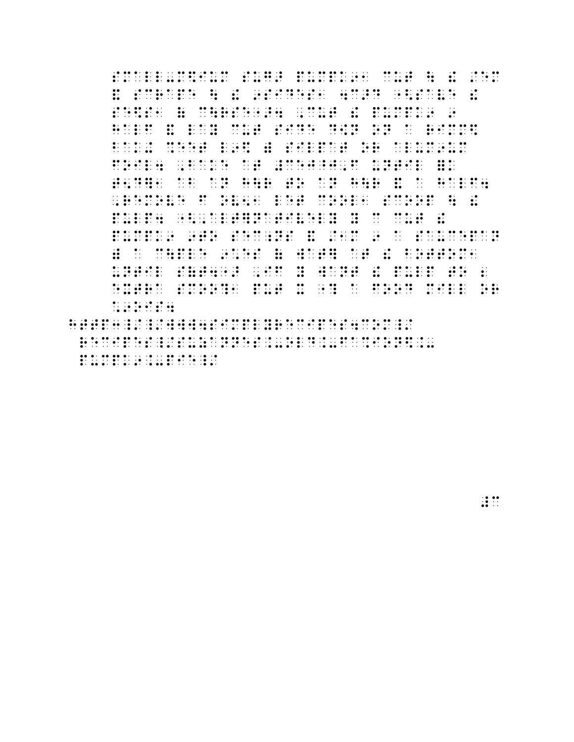S SALAM AS AS SUS AN ANG SALAM SUS AS ANG SALAM SA ANG ANG ANG SALAM SA ANG SALAM SA ANG SANG SANG SA ANG SANG<br>Salam sus as as sus as as as sus as sus ang salam sa as sus as as sa ang salam sa ang salam sa as sus ang alam<br> . A SCRAPE DE LA SOLA DE LA SERVICIA DE LA SOLA DE LA SOLA DE LA SOLA DE LA SOLA DE LA SOLA DE LA SOLA DE LA S<br>1950 - SAVE DE LA SOLA DE LA SOLA DE LA SOLA DE LA SOLA DE LA SOLA DE LA SOLA DE LA SOLA DE LA SOLA DE LA SOL<br>1 SE\$T ( COMPARENT ) DES TRANSPORTERS DE LA PRODUCTION DE LA PRODUCTION DE LA PRODUCTION DE LA PRODUCTION DE LA<br>1957 : LA PRODUCTION DE LA PRODUCTION DE LA PRODUCTION DE LA PRODUCTION DE LA PRODUCTION DE LA PRODUCTION DE<br>195 HALF & LAY CUT SIDE D[N ON A RIMM\$ BAK+ % EET L9\$ ) SILPAT OR ALUM 9U AA DE SILPAT OR ALUM 9U AA DE SILPAT OR ALUM 9U AA FOIL4 ,BAKE AT #CEJ^J,F UNTIL =K TSD (1988) A HALF4 (1989) A HALF4 (1989) A HALF4 (1989) A HALF4 (1989) A HALF4 (1989) A HALF4 (1989) A HALF4 (<br>1989) A HALF4 (1989) A HALF4 (1989) A HALF4 (1989) A HALF4 (1989) A HALF4 (1989) A HALF4 (1989) A HALF4 (1989<br>1 , REMOVE F OUR DIE TRANSMISSION (DE COOL) DE CARDINALES (DE COOLINE DE COOLINE DE COOL) ANNO 1999.<br>1999 : DE LA PORTUGAL DE LA PORTUGAL DE LA PORTUGAL (DE LA PORTUGAL DE LA PORTUGAL DE COOL) DE LA PORTUGAL DE<br>1999 : LA POR PULP4 "BULLA" (ALTERNATIVE DE LA BULLA DE LA BULLA DE LA BULLA DE LA BULLA DE LA BULLA DE LA BULLA DE LA BULLA<br>1944 - LA BULLA DE LA BULLA DE LA BULLA DE LA BULLA BULLA DE LA BULLA DE LA BULLA DE LA BULLA DE LA BULLA DE<br>19 PUMPK9 9TO SEC;NS & /1M 9 A SAUCEPAN  $\mathbf{H}$  , and at  $\mathbf{H}$  at  $\mathbf{H}$  at  $\mathbf{H}$  ,  $\mathbf{H}$  at  $\mathbf{H}$  ,  $\mathbf{H}$  ,  $\mathbf{H}$  ,  $\mathbf{H}$  ,  $\mathbf{H}$  ,  $\mathbf{H}$  ,  $\mathbf{H}$  ,  $\mathbf{H}$  ,  $\mathbf{H}$  ,  $\mathbf{H}$  ,  $\mathbf{H}$  ,  $\mathbf{H}$  ,  $\mathbf{H}$  ,  $\mathbf{H}$  ,  $\$ UNTIL SE TERMONT DI PERSONALISMO DE LOCALISMO DE LOCALISMO DE LOCALISMO DE LOCALISMO DE LOCALISMO DE LOCALISMO<br>1990 - PULP TO 200 DE LOCALISMO DE LOCALISMO DE LOCALISMO DE LOCALISMO DE LOCALISMO DE LOCALISMO DE LOCALISMO<br>1 EXTRA SMOO?1 PUT X "? A FOOD MILL OR \*9OIS4

HTTP3\_ A RELEASE AND A REAL PROPERTY AND A REAL PROPERTY OF A REAL PROPERTY AND A REAL PROPERTY AND A REAL PRO<br>HTTPS://WWW.SIMPLY.COM\_A A REAL PROPERTY AND A REAL PROPERTY AND A REAL PROPERTY AND A REAL PROPERTY AND A REA<br> RECIPES\_/SUZANNES.-OLD.-FA%ION\$.- PUMPK9.00.00.00.00.00.00.00.00.00.00<br>-PIE\_/ PIE\_/ PIE\_/ PIE\_/ PIE\_/ PIE\_/ PIE\_/<br>-PIE\_MIE\_/ PIE\_/ PIE\_/ PIE\_/ PIE\_/ PIE\_/ PIE\_/

 $\begin{smallmatrix} 1 & 0 & 0 & 0 \\ 0 & 0 & 0 & 0 \\ 0 & 0 & 0 & 0 \\ 0 & 0 & 0 & 0 \\ 0 & 0 & 0 & 0 \\ 0 & 0 & 0 & 0 & 0 \\ 0 & 0 & 0 & 0 & 0 \\ 0 & 0 & 0 & 0 & 0 \\ 0 & 0 & 0 & 0 & 0 \\ 0 & 0 & 0 & 0 & 0 & 0 \\ 0 & 0 & 0 & 0 & 0 & 0 \\ 0 & 0 & 0 & 0 & 0 & 0 & 0 \\ 0 & 0 & 0 & 0 & 0 & 0 & 0 \\ 0 & 0 & 0 & 0 & 0 &$